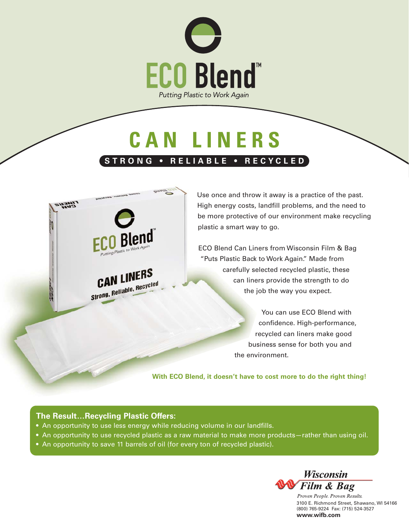

## **CAN LINERS STRONG • RELIABLE • RECYCLED**



Use once and throw it away is a practice of the past. High energy costs, landfill problems, and the need to be more protective of our environment make recycling plastic a smart way to go.

ECO Blend Can Liners from Wisconsin Film & Bag "Puts Plastic Back to Work Again." Made from carefully selected recycled plastic, these can liners provide the strength to do the job the way you expect.

> You can use ECO Blend with confidence. High-performance, recycled can liners make good business sense for both you and the environment.

**With ECO Blend, it doesn't have to cost more to do the right thing!**

### **The Result…Recycling Plastic Offers:**

- An opportunity to use less energy while reducing volume in our landfills.
- An opportunity to use recycled plastic as a raw material to make more products—rather than using oil.
- An opportunity to save 11 barrels of oil (for every ton of recycled plastic).



Proven People. Proven Results. 3100 E. Richmond Street, Shawano, WI 54166 (800) 765-9224 Fax: (715) 524-3527 **www.wifb.com**